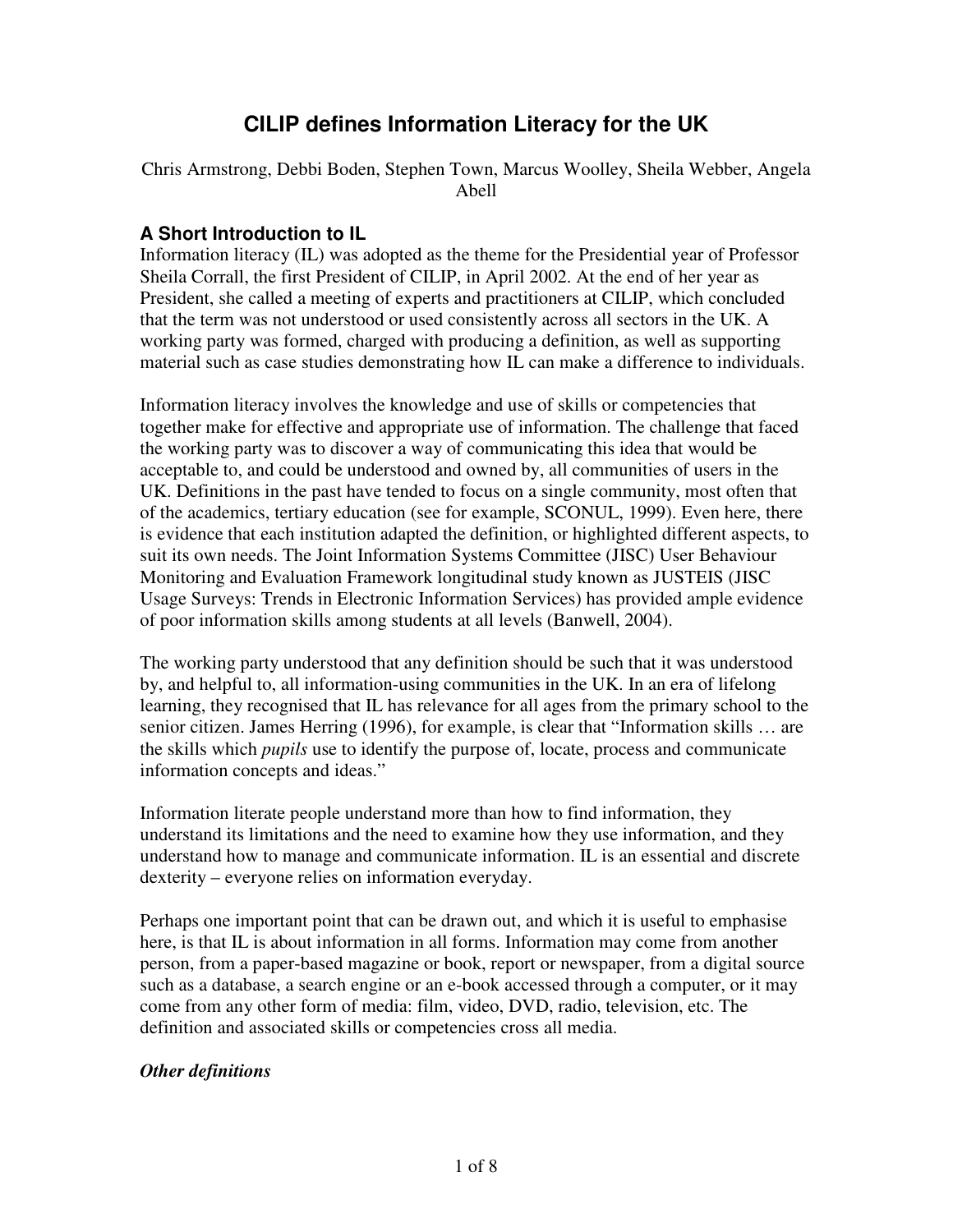# **CILIP defines Information Literacy for the UK**

Chris Armstrong, Debbi Boden, Stephen Town, Marcus Woolley, Sheila Webber, Angela Abell

### **A Short Introduction to IL**

Information literacy (IL) was adopted as the theme for the Presidential year of Professor Sheila Corrall, the first President of CILIP, in April 2002. At the end of her year as President, she called a meeting of experts and practitioners at CILIP, which concluded that the term was not understood or used consistently across all sectors in the UK. A working party was formed, charged with producing a definition, as well as supporting material such as case studies demonstrating how IL can make a difference to individuals.

Information literacy involves the knowledge and use of skills or competencies that together make for effective and appropriate use of information. The challenge that faced the working party was to discover a way of communicating this idea that would be acceptable to, and could be understood and owned by, all communities of users in the UK. Definitions in the past have tended to focus on a single community, most often that of the academics, tertiary education (see for example, SCONUL, 1999). Even here, there is evidence that each institution adapted the definition, or highlighted different aspects, to suit its own needs. The Joint Information Systems Committee (JISC) User Behaviour Monitoring and Evaluation Framework longitudinal study known as JUSTEIS (JISC Usage Surveys: Trends in Electronic Information Services) has provided ample evidence of poor information skills among students at all levels (Banwell, 2004).

The working party understood that any definition should be such that it was understood by, and helpful to, all information-using communities in the UK. In an era of lifelong learning, they recognised that IL has relevance for all ages from the primary school to the senior citizen. James Herring (1996), for example, is clear that "Information skills … are the skills which *pupils* use to identify the purpose of, locate, process and communicate information concepts and ideas."

Information literate people understand more than how to find information, they understand its limitations and the need to examine how they use information, and they understand how to manage and communicate information. IL is an essential and discrete dexterity – everyone relies on information everyday.

Perhaps one important point that can be drawn out, and which it is useful to emphasise here, is that IL is about information in all forms. Information may come from another person, from a paper-based magazine or book, report or newspaper, from a digital source such as a database, a search engine or an e-book accessed through a computer, or it may come from any other form of media: film, video, DVD, radio, television, etc. The definition and associated skills or competencies cross all media.

### *Other definitions*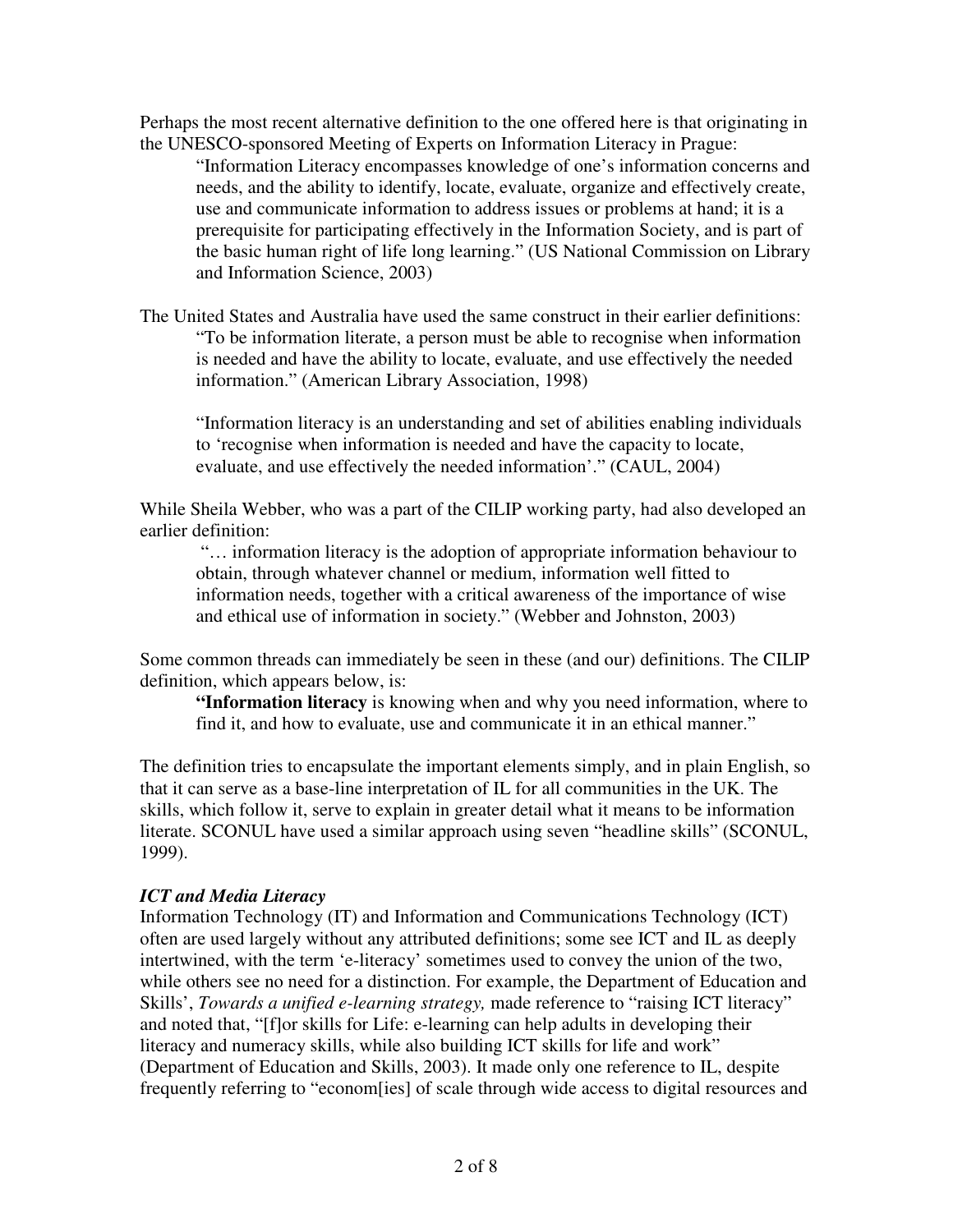Perhaps the most recent alternative definition to the one offered here is that originating in the UNESCO-sponsored Meeting of Experts on Information Literacy in Prague:

"Information Literacy encompasses knowledge of one's information concerns and needs, and the ability to identify, locate, evaluate, organize and effectively create, use and communicate information to address issues or problems at hand; it is a prerequisite for participating effectively in the Information Society, and is part of the basic human right of life long learning." (US National Commission on Library and Information Science, 2003)

The United States and Australia have used the same construct in their earlier definitions: "To be information literate, a person must be able to recognise when information is needed and have the ability to locate, evaluate, and use effectively the needed information." (American Library Association, 1998)

"Information literacy is an understanding and set of abilities enabling individuals to 'recognise when information is needed and have the capacity to locate, evaluate, and use effectively the needed information'." (CAUL, 2004)

While Sheila Webber, who was a part of the CILIP working party, had also developed an earlier definition:

"… information literacy is the adoption of appropriate information behaviour to obtain, through whatever channel or medium, information well fitted to information needs, together with a critical awareness of the importance of wise and ethical use of information in society." (Webber and Johnston, 2003)

Some common threads can immediately be seen in these (and our) definitions. The CILIP definition, which appears below, is:

**The Information literacy** is knowing when and why you need information, where to find it, and how to evaluate, use and communicate it in an ethical manner."

The definition tries to encapsulate the important elements simply, and in plain English, so that it can serve as a base-line interpretation of IL for all communities in the UK. The skills, which follow it, serve to explain in greater detail what it means to be information literate. SCONUL have used a similar approach using seven "headline skills" (SCONUL, 1999).

### *ICT and Media Literacy*

Information Technology (IT) and Information and Communications Technology (ICT) often are used largely without any attributed definitions; some see ICT and IL as deeply intertwined, with the term 'e-literacy' sometimes used to convey the union of the two, while others see no need for a distinction. For example, the Department of Education and Skills', *Towards a unified e-learning strategy,* made reference to "raising ICT literacy" and noted that, "[f]or skills for Life: e-learning can help adults in developing their literacy and numeracy skills, while also building ICT skills for life and work" (Department of Education and Skills, 2003). It made only one reference to IL, despite frequently referring to "econom[ies] of scale through wide access to digital resources and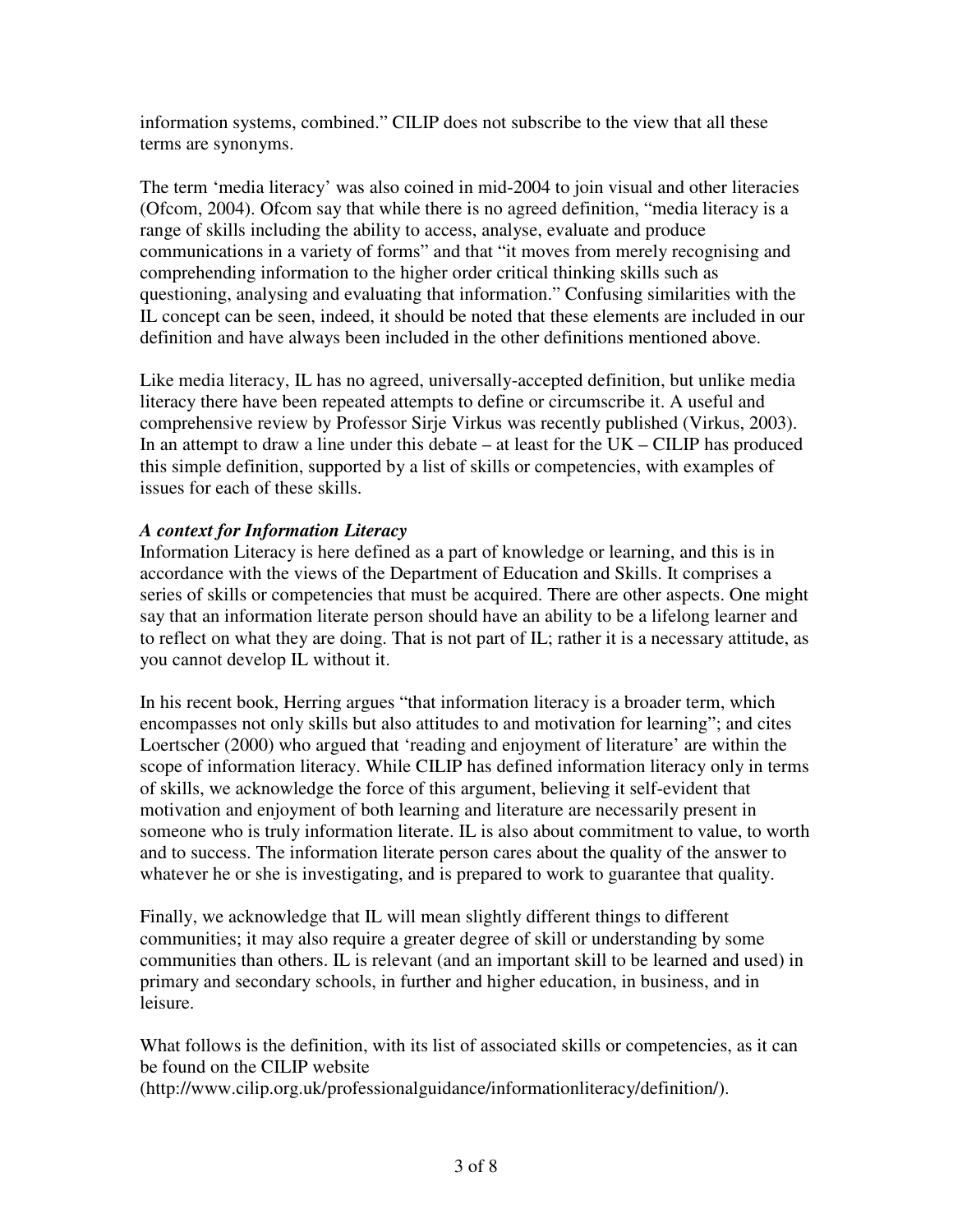information systems, combined." CILIP does not subscribe to the view that all these terms are synonyms.

The term 'media literacy' was also coined in mid-2004 to join visual and other literacies (Ofcom, 2004). Ofcom say that while there is no agreed definition, "media literacy is a range of skills including the ability to access, analyse, evaluate and produce communications in a variety of forms" and that "it moves from merely recognising and comprehending information to the higher order critical thinking skills such as questioning, analysing and evaluating that information." Confusing similarities with the IL concept can be seen, indeed, it should be noted that these elements are included in our definition and have always been included in the other definitions mentioned above.

Like media literacy, IL has no agreed, universally-accepted definition, but unlike media literacy there have been repeated attempts to define or circumscribe it. A useful and comprehensive review by Professor Sirje Virkus was recently published (Virkus, 2003). In an attempt to draw a line under this debate  $-$  at least for the  $UK - CILIP$  has produced this simple definition, supported by a list of skills or competencies, with examples of issues for each of these skills.

## *A context for Information Literacy*

Information Literacy is here defined as a part of knowledge or learning, and this is in accordance with the views of the Department of Education and Skills. It comprises a series of skills or competencies that must be acquired. There are other aspects. One might say that an information literate person should have an ability to be a lifelong learner and to reflect on what they are doing. That is not part of IL; rather it is a necessary attitude, as you cannot develop IL without it.

In his recent book, Herring argues "that information literacy is a broader term, which encompasses not only skills but also attitudes to and motivation for learning"; and cites Loertscher (2000) who argued that 'reading and enjoyment of literature' are within the scope of information literacy. While CILIP has defined information literacy only in terms of skills, we acknowledge the force of this argument, believing it self-evident that motivation and enjoyment of both learning and literature are necessarily present in someone who is truly information literate. IL is also about commitment to value, to worth and to success. The information literate person cares about the quality of the answer to whatever he or she is investigating, and is prepared to work to guarantee that quality.

Finally, we acknowledge that IL will mean slightly different things to different communities; it may also require a greater degree of skill or understanding by some communities than others. IL is relevant (and an important skill to be learned and used) in primary and secondary schools, in further and higher education, in business, and in leisure.

What follows is the definition, with its list of associated skills or competencies, as it can be found on the CILIP website

(http://www.cilip.org.uk/professionalguidance/informationliteracy/definition/).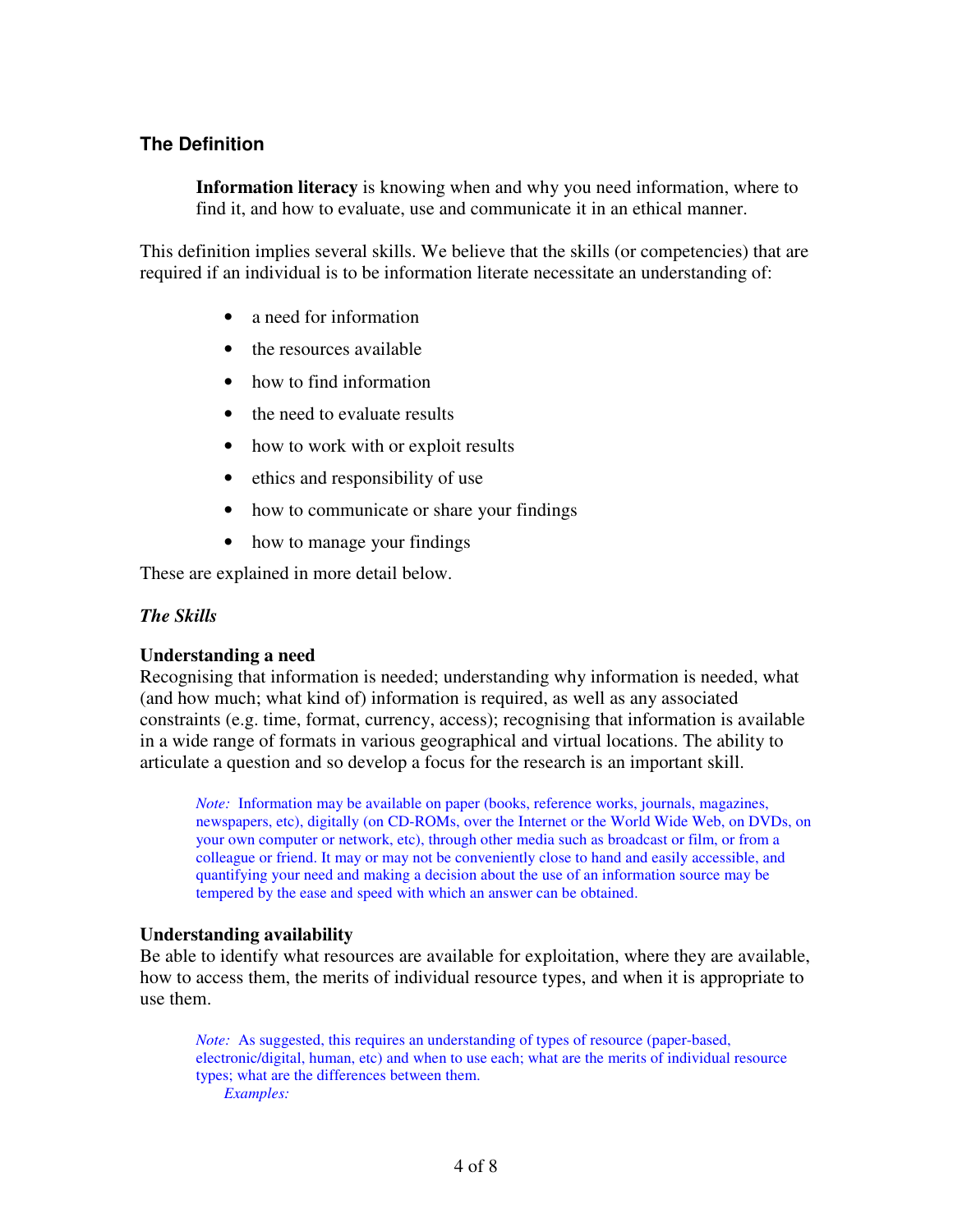### **The Definition**

**Information literacy** is knowing when and why you need information, where to find it, and how to evaluate, use and communicate it in an ethical manner.

This definition implies several skills. We believe that the skills (or competencies) that are required if an individual is to be information literate necessitate an understanding of:

- a need for information
- the resources available
- how to find information
- the need to evaluate results
- how to work with or exploit results
- ethics and responsibility of use
- how to communicate or share your findings
- how to manage your findings

These are explained in more detail below.

#### *The Skills*

#### **Understanding a need**

Recognising that information is needed; understanding why information is needed, what (and how much; what kind of) information is required, as well as any associated constraints (e.g. time, format, currency, access); recognising that information is available in a wide range of formats in various geographical and virtual locations. The ability to articulate a question and so develop a focus for the research is an important skill.

*Note:* Information may be available on paper (books, reference works, journals, magazines, newspapers, etc), digitally (on CD-ROMs, over the Internet or the World Wide Web, on DVDs, on your own computer or network, etc), through other media such as broadcast or film, or from a colleague or friend. It may or may not be conveniently close to hand and easily accessible, and quantifying your need and making a decision about the use of an information source may be tempered by the ease and speed with which an answer can be obtained.

#### **Understanding availability**

Be able to identify what resources are available for exploitation, where they are available, how to access them, the merits of individual resource types, and when it is appropriate to use them.

*Note:* As suggested, this requires an understanding of types of resource (paper-based, electronic/digital, human, etc) and when to use each; what are the merits of individual resource types; what are the differences between them. *Examples:*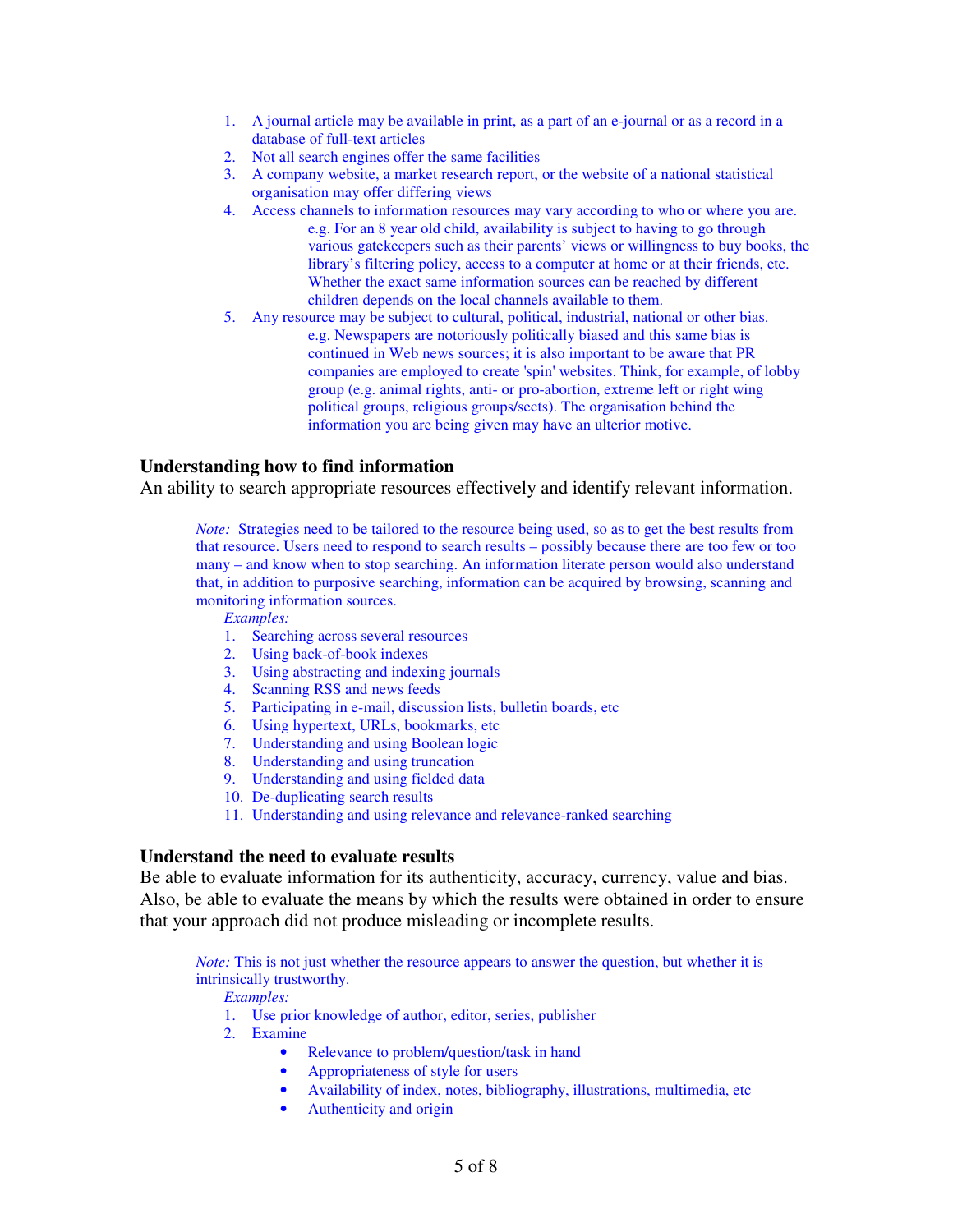- 1. A journal article may be available in print, as a part of an e-journal or as a record in a database of full-text articles
- 2. Not all search engines offer the same facilities
- 3. A company website, a market research report, or the website of a national statistical organisation may offer differing views
- 4. Access channels to information resources may vary according to who or where you are. e.g. For an 8 year old child, availability is subject to having to go through various gatekeepers such as their parents' views or willingness to buy books, the library's filtering policy, access to a computer at home or at their friends, etc. Whether the exact same information sources can be reached by different children depends on the local channels available to them.
- 5. Any resource may be subject to cultural, political, industrial, national or other bias. e.g. Newspapers are notoriously politically biased and this same bias is continued in Web news sources; it is also important to be aware that PR companies are employed to create 'spin'websites. Think, for example, of lobby group (e.g. animal rights, anti- or pro-abortion, extreme left or right wing political groups, religious groups/sects). The organisation behind the information you are being given may have an ulterior motive.

#### **Understanding how to find information**

An ability to search appropriate resources effectively and identify relevant information.

*Note:* Strategies need to be tailored to the resource being used, so as to get the best results from that resource. Users need to respond to search results – possibly because there are too few or too many – and know when to stop searching. An information literate person would also understand that, in addition to purposive searching, information can be acquired by browsing, scanning and monitoring information sources.

*Examples:*

- 1. Searching across several resources
- 2. Using back-of-book indexes
- 3. Using abstracting and indexing journals
- 4. Scanning RSS and news feeds
- 5. Participating in e-mail, discussion lists, bulletin boards, etc
- 6. Using hypertext, URLs, bookmarks, etc
- 7. Understanding and using Boolean logic
- 8. Understanding and using truncation
- 9. Understanding and using fielded data
- 10. De-duplicating search results
- 11. Understanding and using relevance and relevance-ranked searching

#### **Understand the need to evaluate results**

Be able to evaluate information for its authenticity, accuracy, currency, value and bias. Also, be able to evaluate the means by which the results were obtained in order to ensure that your approach did not produce misleading or incomplete results.

*Note:* This is not just whether the resource appears to answer the question, but whether it is intrinsically trustworthy.

*Examples:*

1. Use prior knowledge of author, editor, series, publisher

- 2. Examine
	- Relevance to problem/question/task in hand
	- Appropriateness of style for users
	- Availability of index, notes, bibliography, illustrations, multimedia, etc
	- Authenticity and origin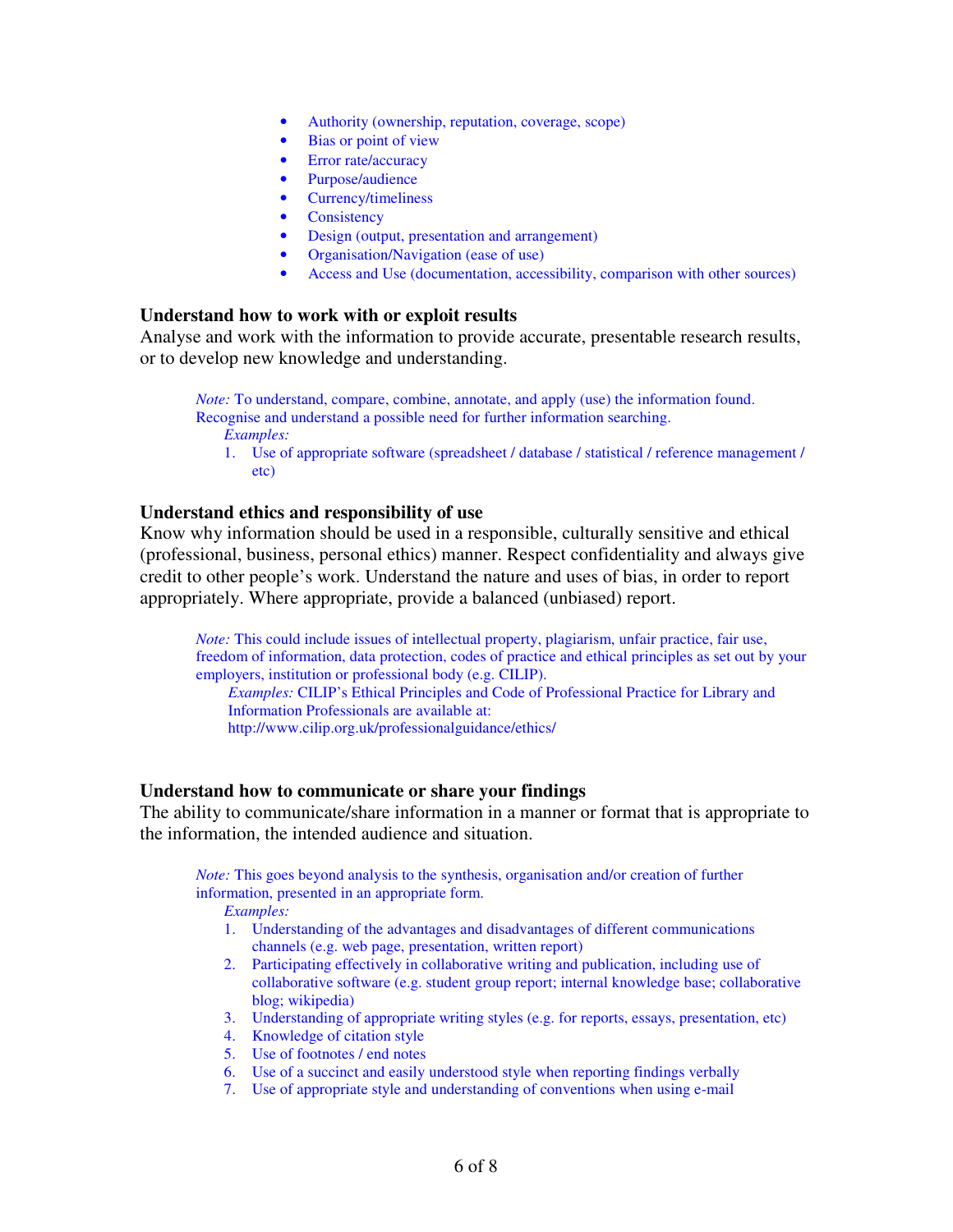- Authority (ownership, reputation, coverage, scope)
- Bias or point of view
- Error rate/accuracy
- Purpose/audience
- Currency/timeliness
- Consistency
- Design (output, presentation and arrangement)
- Organisation/Navigation (ease of use)
- Access and Use (documentation, accessibility, comparison with other sources)

#### **Understand how to work with or exploit results**

Analyse and work with the information to provide accurate, presentable research results, or to develop new knowledge and understanding.

*Note:* To understand, compare, combine, annotate, and apply (use) the information found. Recognise and understand a possible need for further information searching. *Examples:*

1. Use of appropriate software (spreadsheet / database / statistical / reference management / etc)

#### **Understand ethics and responsibility of use**

Know why information should be used in a responsible, culturally sensitive and ethical (professional, business, personal ethics) manner. Respect confidentiality and always give credit to other people's work. Understand the nature and uses of bias, in order to report appropriately. Where appropriate, provide a balanced (unbiased) report.

*Note:* This could include issues of intellectual property, plagiarism, unfair practice, fair use, freedom of information, data protection, codes of practice and ethical principles as set out by your employers, institution or professional body (e.g. CILIP).

*Examples:* CILIP's Ethical Principles and Code of Professional Practice for Library and Information Professionals are available at:

http://www.cilip.org.uk/professionalguidance/ethics/

#### **Understand how to communicate or share your findings**

The ability to communicate/share information in a manner or format that is appropriate to the information, the intended audience and situation.

*Note:* This goes beyond analysis to the synthesis, organisation and/or creation of further information, presented in an appropriate form. *Examples:*

- 1. Understanding of the advantages and disadvantages of different communications channels (e.g. web page, presentation, written report)
- 2. Participating effectively in collaborative writing and publication, including use of collaborative software (e.g. student group report; internal knowledge base; collaborative blog; wikipedia)
- 3. Understanding of appropriate writing styles (e.g. for reports, essays, presentation, etc)
- 4. Knowledge of citation style
- 5. Use of footnotes / end notes
- 6. Use of a succinct and easily understood style when reporting findings verbally
- 7. Use of appropriate style and understanding of conventions when using e-mail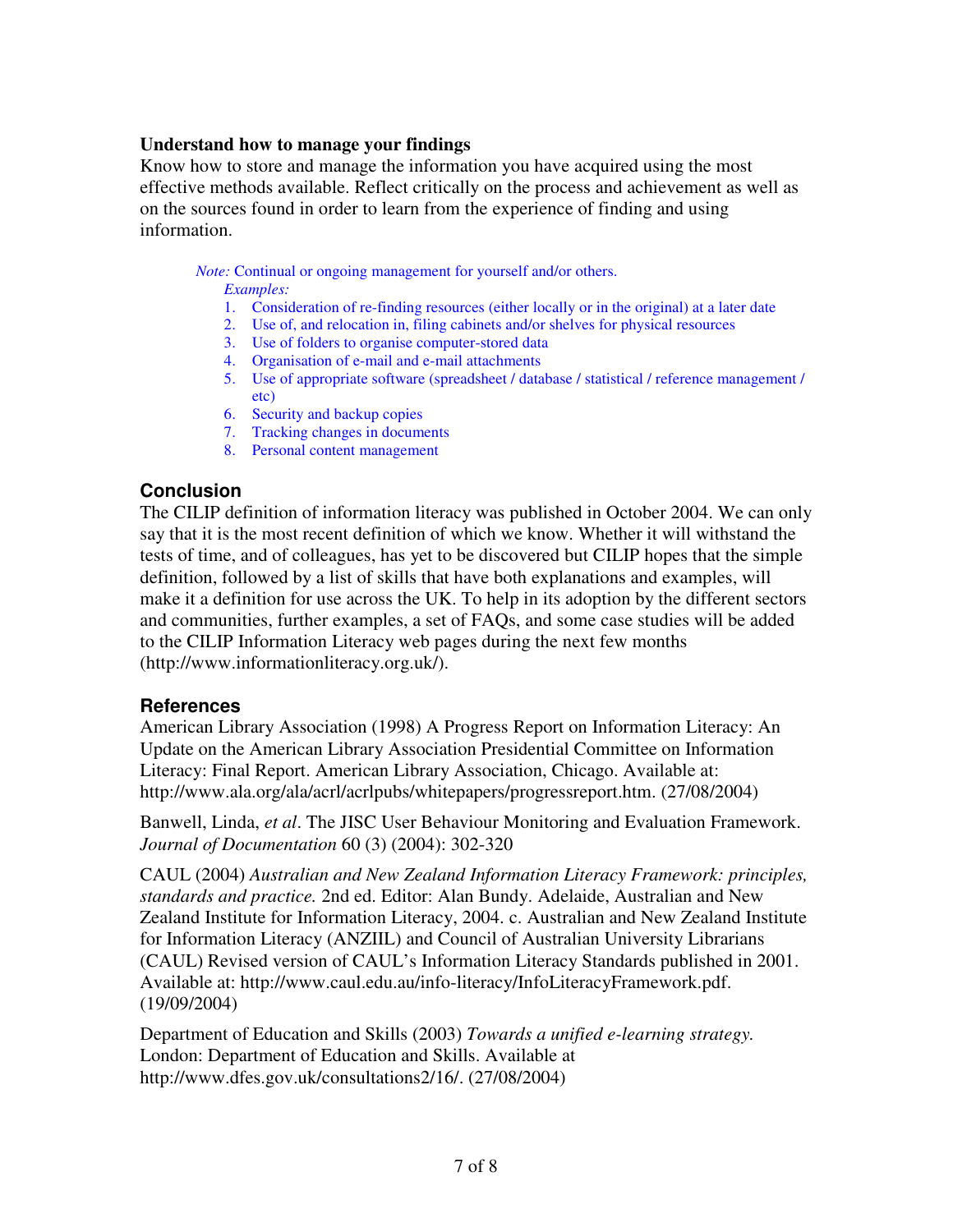### **Understand how to manage your findings**

Know how to store and manage the information you have acquired using the most effective methods available. Reflect critically on the process and achievement as well as on the sources found in order to learn from the experience of finding and using information.

*Note:* Continual or ongoing management for yourself and/or others.

*Examples:*

- 1. Consideration of re-finding resources (either locally or in the original) at a later date
- 2. Use of, and relocation in, filing cabinets and/or shelves for physical resources
- 3. Use of folders to organise computer-stored data
- 4. Organisation of e-mail and e-mail attachments
- 5. Use of appropriate software (spreadsheet / database / statistical / reference management / etc)
- 6. Security and backup copies
- 7. Tracking changes in documents
- 8. Personal content management

## **Conclusion**

The CILIP definition of information literacy was published in October 2004. We can only say that it is the most recent definition of which we know. Whether it will withstand the tests of time, and of colleagues, has yet to be discovered but CILIP hopes that the simple definition, followed by a list of skills that have both explanations and examples, will make it a definition for use across the UK. To help in its adoption by the different sectors and communities, further examples, a set of FAQs, and some case studies will be added to the CILIP Information Literacy web pages during the next few months (http://www.informationliteracy.org.uk/).

### **References**

American Library Association (1998) A Progress Report on Information Literacy: An Update on the American Library Association Presidential Committee on Information Literacy: Final Report. American Library Association, Chicago. Available at: http://www.ala.org/ala/acrl/acrlpubs/whitepapers/progressreport.htm. (27/08/2004)

Banwell, Linda, *et al*. The JISC User Behaviour Monitoring and Evaluation Framework. *Journal of Documentation* 60 (3) (2004): 302-320

CAUL (2004) *Australian and New Zealand Information Literacy Framework: principles, standards and practice.* 2nd ed. Editor: Alan Bundy. Adelaide, Australian and New Zealand Institute for Information Literacy, 2004. c. Australian and New Zealand Institute for Information Literacy (ANZIIL) and Council of Australian University Librarians (CAUL) Revised version of CAUL's Information Literacy Standards published in 2001. Available at: http://www.caul.edu.au/info-literacy/InfoLiteracyFramework.pdf. (19/09/2004)

Department of Education and Skills (2003) *Towards a unified e-learning strategy.* London: Department of Education and Skills. Available at http://www.dfes.gov.uk/consultations2/16/. (27/08/2004)